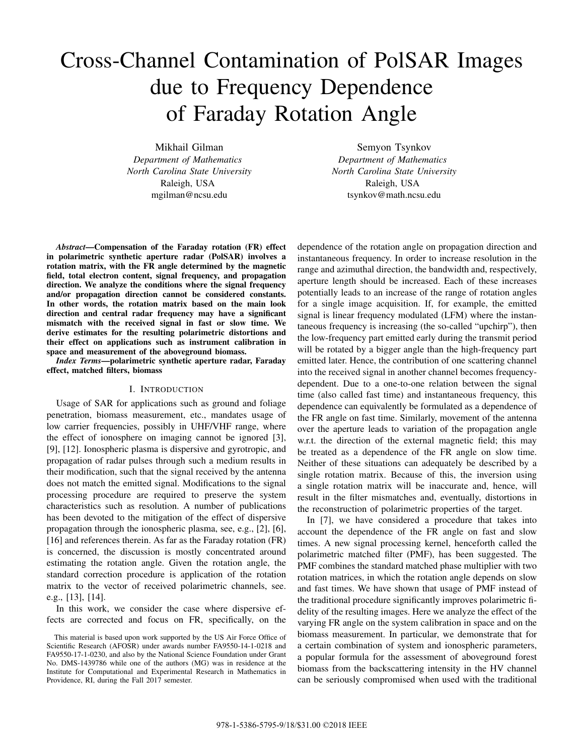# Cross-Channel Contamination of PolSAR Images due to Frequency Dependence of Faraday Rotation Angle

Mikhail Gilman *Department of Mathematics North Carolina State University* Raleigh, USA mgilman@ncsu.edu

Semyon Tsynkov *Department of Mathematics North Carolina State University* Raleigh, USA tsynkov@math.ncsu.edu

*Abstract*—Compensation of the Faraday rotation (FR) effect in polarimetric synthetic aperture radar (PolSAR) involves a rotation matrix, with the FR angle determined by the magnetic field, total electron content, signal frequency, and propagation direction. We analyze the conditions where the signal frequency and/or propagation direction cannot be considered constants. In other words, the rotation matrix based on the main look direction and central radar frequency may have a significant mismatch with the received signal in fast or slow time. We derive estimates for the resulting polarimetric distortions and their effect on applications such as instrument calibration in space and measurement of the aboveground biomass.

*Index Terms*—polarimetric synthetic aperture radar, Faraday effect, matched filters, biomass

#### I. INTRODUCTION

Usage of SAR for applications such as ground and foliage penetration, biomass measurement, etc., mandates usage of low carrier frequencies, possibly in UHF/VHF range, where the effect of ionosphere on imaging cannot be ignored [3], [9], [12]. Ionospheric plasma is dispersive and gyrotropic, and propagation of radar pulses through such a medium results in their modification, such that the signal received by the antenna does not match the emitted signal. Modifications to the signal processing procedure are required to preserve the system characteristics such as resolution. A number of publications has been devoted to the mitigation of the effect of dispersive propagation through the ionospheric plasma, see, e.g., [2], [6], [16] and references therein. As far as the Faraday rotation (FR) is concerned, the discussion is mostly concentrated around estimating the rotation angle. Given the rotation angle, the standard correction procedure is application of the rotation matrix to the vector of received polarimetric channels, see. e.g., [13], [14].

In this work, we consider the case where dispersive effects are corrected and focus on FR, specifically, on the dependence of the rotation angle on propagation direction and instantaneous frequency. In order to increase resolution in the range and azimuthal direction, the bandwidth and, respectively, aperture length should be increased. Each of these increases potentially leads to an increase of the range of rotation angles for a single image acquisition. If, for example, the emitted signal is linear frequency modulated (LFM) where the instantaneous frequency is increasing (the so-called "upchirp"), then the low-frequency part emitted early during the transmit period will be rotated by a bigger angle than the high-frequency part emitted later. Hence, the contribution of one scattering channel into the received signal in another channel becomes frequencydependent. Due to a one-to-one relation between the signal time (also called fast time) and instantaneous frequency, this dependence can equivalently be formulated as a dependence of the FR angle on fast time. Similarly, movement of the antenna over the aperture leads to variation of the propagation angle w.r.t. the direction of the external magnetic field; this may be treated as a dependence of the FR angle on slow time. Neither of these situations can adequately be described by a single rotation matrix. Because of this, the inversion using a single rotation matrix will be inaccurate and, hence, will result in the filter mismatches and, eventually, distortions in the reconstruction of polarimetric properties of the target.

In [7], we have considered a procedure that takes into account the dependence of the FR angle on fast and slow times. A new signal processing kernel, henceforth called the polarimetric matched filter (PMF), has been suggested. The PMF combines the standard matched phase multiplier with two rotation matrices, in which the rotation angle depends on slow and fast times. We have shown that usage of PMF instead of the traditional procedure significantly improves polarimetric fidelity of the resulting images. Here we analyze the effect of the varying FR angle on the system calibration in space and on the biomass measurement. In particular, we demonstrate that for a certain combination of system and ionospheric parameters, a popular formula for the assessment of aboveground forest biomass from the backscattering intensity in the HV channel can be seriously compromised when used with the traditional

This material is based upon work supported by the US Air Force Office of Scientific Research (AFOSR) under awards number FA9550-14-1-0218 and FA9550-17-1-0230, and also by the National Science Foundation under Grant No. DMS-1439786 while one of the authors (MG) was in residence at the Institute for Computational and Experimental Research in Mathematics in Providence, RI, during the Fall 2017 semester.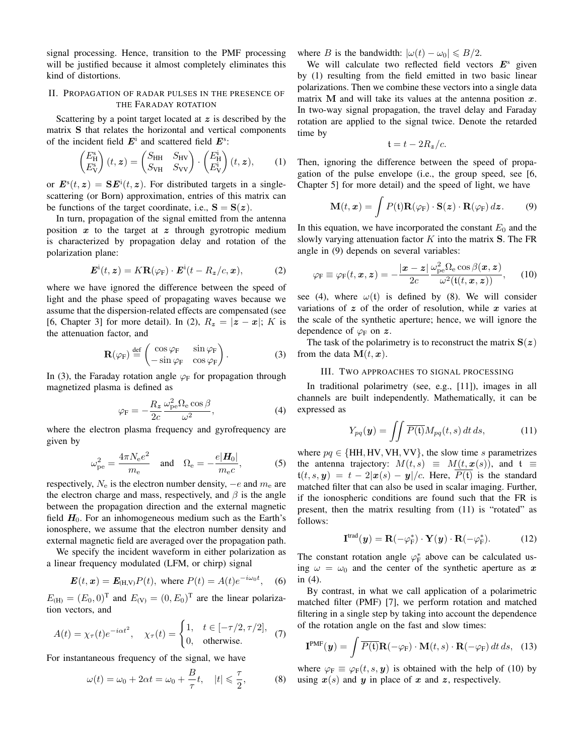signal processing. Hence, transition to the PMF processing will be justified because it almost completely eliminates this kind of distortions.

## II. PROPAGATION OF RADAR PULSES IN THE PRESENCE OF THE FARADAY ROTATION

Scattering by a point target located at  $z$  is described by the matrix S that relates the horizontal and vertical components of the incident field  $E^i$  and scattered field  $E^s$ :

$$
\begin{pmatrix} E_{\rm H}^{\rm s} \\ E_{\rm V}^{\rm s} \end{pmatrix} (t, \mathbf{z}) = \begin{pmatrix} S_{\rm HH} & S_{\rm HV} \\ S_{\rm VH} & S_{\rm VV} \end{pmatrix} \cdot \begin{pmatrix} E_{\rm H}^{\rm i} \\ E_{\rm V}^{\rm i} \end{pmatrix} (t, \mathbf{z}), \quad (1)
$$

or  $\mathbf{E}^{\rm s}(t, z) = \mathbf{S} \mathbf{E}^{\rm i}(t, z)$ . For distributed targets in a singlescattering (or Born) approximation, entries of this matrix can be functions of the target coordinate, i.e.,  $S = S(z)$ .

In turn, propagation of the signal emitted from the antenna position  $x$  to the target at  $z$  through gyrotropic medium is characterized by propagation delay and rotation of the polarization plane:

$$
\boldsymbol{E}^{\mathrm{i}}(t,\boldsymbol{z}) = K\mathbf{R}(\varphi_{\mathrm{F}}) \cdot \boldsymbol{E}^{\mathrm{i}}(t - R_{\boldsymbol{z}}/c,\boldsymbol{x}), \tag{2}
$$

where we have ignored the difference between the speed of light and the phase speed of propagating waves because we assume that the dispersion-related effects are compensated (see [6, Chapter 3] for more detail). In (2),  $R_z = |z - x|$ ; K is the attenuation factor, and

$$
\mathbf{R}(\varphi_{F}) \stackrel{\text{def}}{=} \begin{pmatrix} \cos \varphi_{F} & \sin \varphi_{F} \\ -\sin \varphi_{F} & \cos \varphi_{F} \end{pmatrix} . \tag{3}
$$

In (3), the Faraday rotation angle  $\varphi_F$  for propagation through magnetized plasma is defined as

$$
\varphi_{\rm F} = -\frac{R_z}{2c} \frac{\omega_{\rm pe}^2 \Omega_{\rm e} \cos \beta}{\omega^2},\tag{4}
$$

where the electron plasma frequency and gyrofrequency are given by

$$
\omega_{\rm pe}^2 = \frac{4\pi N_{\rm e}e^2}{m_{\rm e}} \quad \text{and} \quad \Omega_{\rm e} = -\frac{e|\mathbf{H}_0|}{m_{\rm e}c},\tag{5}
$$

respectively,  $N_e$  is the electron number density,  $-e$  and  $m_e$  are the electron charge and mass, respectively, and  $\beta$  is the angle between the propagation direction and the external magnetic field  $H_0$ . For an inhomogeneous medium such as the Earth's ionosphere, we assume that the electron number density and external magnetic field are averaged over the propagation path.

We specify the incident waveform in either polarization as a linear frequency modulated (LFM, or chirp) signal

$$
E(t, x) = E_{(H,V)}P(t)
$$
, where  $P(t) = A(t)e^{-i\omega_0 t}$ , (6)

 $E_{(H)} = (E_0, 0)^T$  and  $E_{(V)} = (0, E_0)^T$  are the linear polarization vectors, and

$$
A(t) = \chi_{\tau}(t)e^{-i\alpha t^2}, \quad \chi_{\tau}(t) = \begin{cases} 1, & t \in [-\tau/2, \tau/2], \\ 0, & \text{otherwise.} \end{cases} \tag{7}
$$

For instantaneous frequency of the signal, we have

$$
\omega(t) = \omega_0 + 2\alpha t = \omega_0 + \frac{B}{\tau}t, \quad |t| \leq \frac{\tau}{2}, \tag{8}
$$

where B is the bandwidth:  $|\omega(t) - \omega_0| \le B/2$ .

We will calculate two reflected field vectors  $E^s$  given by (1) resulting from the field emitted in two basic linear polarizations. Then we combine these vectors into a single data matrix M and will take its values at the antenna position  $x$ . In two-way signal propagation, the travel delay and Faraday rotation are applied to the signal twice. Denote the retarded time by

$$
t = t - 2R_z/c.
$$

Then, ignoring the difference between the speed of propagation of the pulse envelope (i.e., the group speed, see [6, Chapter 5] for more detail) and the speed of light, we have

$$
\mathbf{M}(t,\mathbf{x}) = \int P(\mathbf{t}) \mathbf{R}(\varphi_{\mathbf{F}}) \cdot \mathbf{S}(\mathbf{z}) \cdot \mathbf{R}(\varphi_{\mathbf{F}}) d\mathbf{z}.
$$
 (9)

In this equation, we have incorporated the constant  $E_0$  and the slowly varying attenuation factor  $K$  into the matrix  $S$ . The FR angle in (9) depends on several variables:

$$
\varphi_{\rm F} \equiv \varphi_{\rm F}(t, x, z) = -\frac{|x-z|}{2c} \frac{\omega_{\rm pe}^2 \Omega_{\rm e} \cos \beta(x, z)}{\omega^2(\mathfrak{t}(t, x, z))}, \qquad (10)
$$

see (4), where  $\omega(t)$  is defined by (8). We will consider variations of  $z$  of the order of resolution, while  $x$  varies at the scale of the synthetic aperture; hence, we will ignore the dependence of  $\varphi_F$  on  $z$ .

The task of the polarimetry is to reconstruct the matrix  $S(z)$ from the data  $\mathbf{M}(t, x)$ .

### III. TWO APPROACHES TO SIGNAL PROCESSING

In traditional polarimetry (see, e.g., [11]), images in all channels are built independently. Mathematically, it can be expressed as

$$
Y_{pq}(\mathbf{y}) = \iint \overline{P(\mathbf{t})} M_{pq}(t, s) dt ds, \qquad (11)
$$

where  $pq \in \{HH, HV, VH, VV\}$ , the slow time s parametrizes the antenna trajectory:  $M(t, s) \equiv M(t, x(s))$ , and  $t \equiv$  $t(t, s, y) = t - 2|x(s) - y|/c$ . Here,  $\overline{P(t)}$  is the standard matched filter that can also be used in scalar imaging. Further, if the ionospheric conditions are found such that the FR is present, then the matrix resulting from (11) is "rotated" as follows:

$$
\mathbf{I}^{\text{trad}}(\boldsymbol{y}) = \mathbf{R}(-\varphi_{\text{F}}^*) \cdot \mathbf{Y}(\boldsymbol{y}) \cdot \mathbf{R}(-\varphi_{\text{F}}^*). \tag{12}
$$

The constant rotation angle  $\varphi_F^*$  above can be calculated using  $\omega = \omega_0$  and the center of the synthetic aperture as x in (4).

By contrast, in what we call application of a polarimetric matched filter (PMF) [7], we perform rotation and matched filtering in a single step by taking into account the dependence of the rotation angle on the fast and slow times:

$$
\mathbf{I}^{\text{PMF}}(\boldsymbol{y}) = \int \overline{P(\mathbf{t})} \mathbf{R}(-\varphi_{\text{F}}) \cdot \mathbf{M}(t,s) \cdot \mathbf{R}(-\varphi_{\text{F}}) dt ds, \quad (13)
$$

where  $\varphi_F \equiv \varphi_F(t, s, y)$  is obtained with the help of (10) by using  $x(s)$  and y in place of x and z, respectively.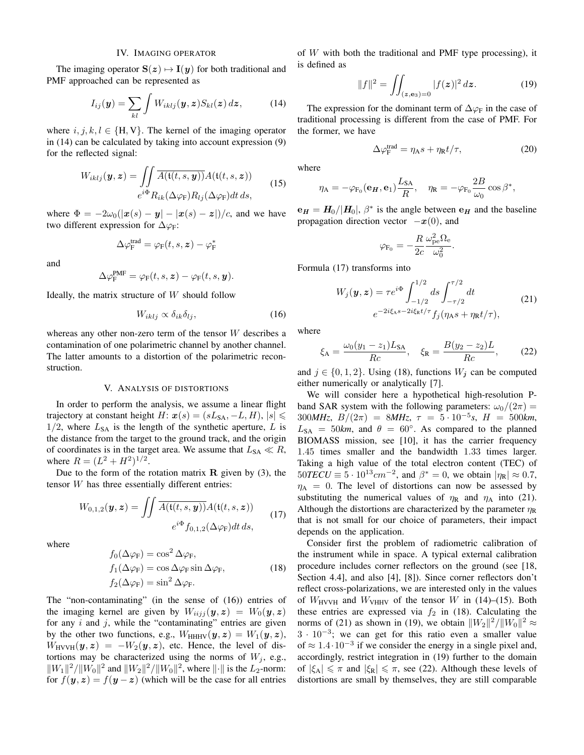## IV. IMAGING OPERATOR

The imaging operator  $S(z) \mapsto I(y)$  for both traditional and PMF approached can be represented as

$$
I_{ij}(\boldsymbol{y}) = \sum_{kl} \int W_{iklj}(\boldsymbol{y}, \boldsymbol{z}) S_{kl}(\boldsymbol{z}) \, d\boldsymbol{z}, \tag{14}
$$

where  $i, j, k, l \in \{H, V\}$ . The kernel of the imaging operator in (14) can be calculated by taking into account expression (9) for the reflected signal:

$$
W_{iklj}(\mathbf{y}, \mathbf{z}) = \iint \overline{A(\mathfrak{t}(t, s, \mathbf{y}))} A(\mathfrak{t}(t, s, \mathbf{z}))
$$
  

$$
e^{i\Phi} R_{ik}(\Delta \varphi_{\mathsf{F}}) R_{lj}(\Delta \varphi_{\mathsf{F}}) dt ds,
$$
 (15)

where  $\Phi = -2\omega_0(|\mathbf{x}(s) - \mathbf{y}| - |\mathbf{x}(s) - \mathbf{z}|)/c$ , and we have two different expression for  $\Delta \varphi_F$ :

$$
\Delta\varphi^{\text{trad}}_{\text{F}}=\varphi_{\text{F}}(t,s,\boldsymbol{z})-\varphi^*_{\text{F}}
$$

and

$$
\Delta \varphi_{\mathbf{F}}^{\mathbf{PMF}} = \varphi_{\mathbf{F}}(t,s,\mathbf{z}) - \varphi_{\mathbf{F}}(t,s,\mathbf{y}).
$$

Ideally, the matrix structure of  $W$  should follow

$$
W_{iklj} \propto \delta_{ik}\delta_{lj},\tag{16}
$$

whereas any other non-zero term of the tensor W describes a contamination of one polarimetric channel by another channel. The latter amounts to a distortion of the polarimetric reconstruction.

#### V. ANALYSIS OF DISTORTIONS

In order to perform the analysis, we assume a linear flight trajectory at constant height H:  $x(s) = (sL_{SA}, -L, H), |s| \le$  $1/2$ , where  $L_{SA}$  is the length of the synthetic aperture, L is the distance from the target to the ground track, and the origin of coordinates is in the target area. We assume that  $L_{SA} \ll R$ , where  $R = (L^2 + H^2)^{1/2}$ .

Due to the form of the rotation matrix  $\bf{R}$  given by (3), the tensor W has three essentially different entries:

$$
W_{0,1,2}(\boldsymbol{y},\boldsymbol{z}) = \iint \overline{A(\mathfrak{t}(t,s,\boldsymbol{y}))} A(\mathfrak{t}(t,s,\boldsymbol{z}))
$$
  

$$
e^{i\Phi} f_{0,1,2}(\Delta \varphi_{\mathcal{F}}) dt ds,
$$
 (17)

where

$$
f_0(\Delta \varphi_F) = \cos^2 \Delta \varphi_F,
$$
  
\n
$$
f_1(\Delta \varphi_F) = \cos \Delta \varphi_F \sin \Delta \varphi_F,
$$
  
\n
$$
f_2(\Delta \varphi_F) = \sin^2 \Delta \varphi_F.
$$
\n(18)

The "non-contaminating" (in the sense of (16)) entries of the imaging kernel are given by  $W_{iijj}(\mathbf{y}, \mathbf{z}) = W_0(\mathbf{y}, \mathbf{z})$ for any  $i$  and  $j$ , while the "contaminating" entries are given by the other two functions, e.g.,  $W_{HHHV}(\mathbf{y}, \mathbf{z}) = W_1(\mathbf{y}, \mathbf{z}),$  $W_{\text{HVVH}}(\mathbf{y}, \mathbf{z}) = -W_2(\mathbf{y}, \mathbf{z})$ , etc. Hence, the level of distortions may be characterized using the norms of  $W_i$ , e.g.,  $||W_1||^2/||W_0||^2$  and  $||W_2||^2/||W_0||^2$ , where  $||\cdot||$  is the  $L_2$ -norm: for  $f(y, z) = f(y - z)$  (which will be the case for all entries

of  $W$  with both the traditional and PMF type processing), it is defined as

$$
||f||^2 = \iint_{(z,\mathbf{e}_3)=0} |f(z)|^2 dz.
$$
 (19)

The expression for the dominant term of  $\Delta \varphi_F$  in the case of traditional processing is different from the case of PMF. For the former, we have

$$
\Delta \varphi_{\mathcal{F}}^{\text{trad}} = \eta_{\mathcal{A}} s + \eta_{\mathcal{R}} t / \tau, \tag{20}
$$

where

$$
\eta_{\mathbf{A}} = -\varphi_{\mathbf{F}_0}(\mathbf{e}_{\mathbf{H}}, \mathbf{e}_1) \frac{L_{\mathbf{SA}}}{R}, \quad \eta_{\mathbf{R}} = -\varphi_{\mathbf{F}_0} \frac{2B}{\omega_0} \cos \beta^*,
$$

 $e_H = H_0 / |H_0|$ ,  $\beta^*$  is the angle between  $e_H$  and the baseline propagation direction vector  $-x(0)$ , and

$$
\varphi_{\mathrm{F}_0} = -\frac{R}{2c} \frac{\omega_{\mathrm{pe}}^2 \Omega_{\mathrm{e}}}{\omega_0^2}.
$$

Formula (17) transforms into

$$
W_j(\mathbf{y}, \mathbf{z}) = \tau e^{i\Phi} \int_{-1/2}^{1/2} ds \int_{-\tau/2}^{\tau/2} dt
$$
  
\n
$$
e^{-2i\xi_A s - 2i\xi_R t/\tau} f_j(\eta_A s + \eta_R t/\tau),
$$
\n(21)

where

$$
\xi_{\rm A} = \frac{\omega_0 (y_1 - z_1) L_{\rm SA}}{Rc}, \quad \xi_{\rm R} = \frac{B(y_2 - z_2) L}{Rc}, \tag{22}
$$

and  $j \in \{0, 1, 2\}$ . Using (18), functions  $W_j$  can be computed either numerically or analytically [7].

We will consider here a hypothetical high-resolution Pband SAR system with the following parameters:  $\omega_0/(2\pi)$  = 300*MHz*,  $B/(2\pi) = 8MHz$ ,  $\tau = 5 \cdot 10^{-5} s$ ,  $H = 500$ *km*,  $L_{SA}$  = 50km, and  $\theta$  = 60°. As compared to the planned BIOMASS mission, see [10], it has the carrier frequency 1.45 times smaller and the bandwidth 1.33 times larger. Taking a high value of the total electron content (TEC) of  $50TECU \equiv 5 \cdot 10^{13} cm^{-2}$ , and  $\beta^* = 0$ , we obtain  $|\eta_R| \approx 0.7$ ,  $\eta_A = 0$ . The level of distortions can now be assessed by substituting the numerical values of  $\eta_R$  and  $\eta_A$  into (21). Although the distortions are characterized by the parameter  $\eta_R$ that is not small for our choice of parameters, their impact depends on the application.

Consider first the problem of radiometric calibration of the instrument while in space. A typical external calibration procedure includes corner reflectors on the ground (see [18, Section 4.4], and also [4], [8]). Since corner reflectors don't reflect cross-polarizations, we are interested only in the values of  $W_{\text{HVVH}}$  and  $W_{\text{VHHV}}$  of the tensor W in (14)–(15). Both these entries are expressed via  $f_2$  in (18). Calculating the norms of (21) as shown in (19), we obtain  $||W_2||^2/||W_0||^2 \approx$  $3 \cdot 10^{-3}$ ; we can get for this ratio even a smaller value of  $\approx 1.4 \cdot 10^{-3}$  if we consider the energy in a single pixel and, accordingly, restrict integration in (19) further to the domain of  $|\xi_A| \leq \pi$  and  $|\xi_R| \leq \pi$ , see (22). Although these levels of distortions are small by themselves, they are still comparable